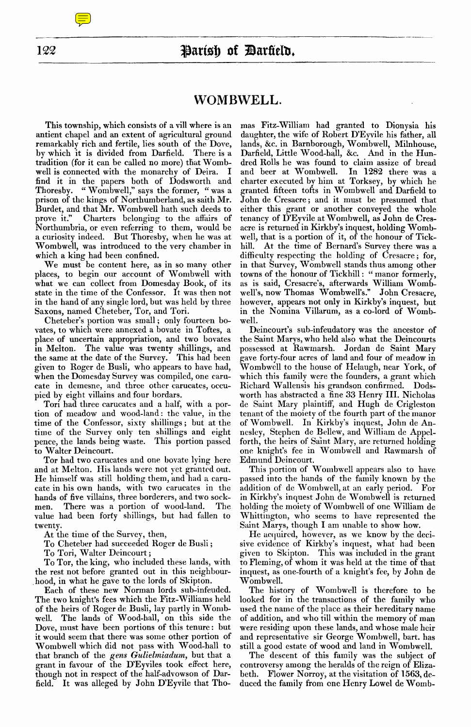# Parish of Darfield.

## **WOMBWELL.**

This township, which consists of a vill where is an antient chapel and an extent of agricultural ground remarkably rich and fertile, lies south of the Dove, by which it is divided from Darfield. There is a by which it is divided from Darfield. tradition (for it can be called no more) that Wombwell is connected with the monarchy of Deira. I find it in the papers both of Dodsworth and Thoresby. " Wombwell," says the former, " was a prison of the kings of Northumberland, as saith Mr. Burdet, and that Mr. Wombwell hath such deeds to prove it." Charters belonging to the affairs of Charters belonging to the affairs of Northumbria, or even referring to them, would be a curiosity indeed. But Thoresby, when he was at Wombwell, was introduced to the very chamber in which a king had been confined.

We must be content here, as in so many other places, to begin our account of Wombwell with what we can collect from Domesday Book, of its state in the time of the Confessor. It was then not in the hand of any single lord, but was held by three Saxons, named Cheteber, Tor, and Tori.

Cheteber's portion was small ; only fourteen bovates, to which were annexed a bovate in Toftes, a place of uncertain appropriation, and two bovates in Melton. The value was twenty shillings, and the same at the date of the Survey. This had been given to Roger de Bush, who appears to have had, when the Domesday Survey was compiled, one carucate in demesne, and three other carucates, occupied by eight villains and four bordars.

Tori had three carucates and a half, with a portion of meadow and wood-land : the value, in the time of the Confessor, sixty shillings ; but at the time of the Survey only ten shillings and eight pence, the lands being waste. This portion passed to Walter Deincourt.

Tor had two carucates and one bovate lying here and at Melton. His lands were not yet granted out. He himself was still holding them, and had a carucate in his own hands, with two carucates in the hands of five villains, three borderers, and two sockmen. There was a portion of wood-land. The value had been forty shillings, but had fallen to twenty.

At the time of the Survey, then,

To Cheteber had succeeded Roger de Busli ;

To Tori, Walter Deincourt ;

To Tor, the king, who included these lands, with the rest not before granted out in this neighbourhood, in what he gave to the lords of Skipton.

Each of these new Norman lords sub-infeuded. The two knight's fees which the Fitz-Williams held of the heirs of Roger de Busli, lay partly in Wombwell. The lands of Wood-hall, on this side the Dove, must have been portions of this tenure : but it would seem that there was some other portion of Wombwell which did not pass with Wood-hall to that branch of the *gens Gulielmiadum,* but that a grant in favour of the D'Eyviles took effect here, though not in respect of the half-advowson of Darfield. It was alleged by John D'Eyvile that Tho-

mas Fitz-William had granted to Dionysia his daughter, the wife of Robert D'Eyvile his father, all lands, &c. in Barnborough, Wombwell, Milnhouse, Darfield, Little Wood-hall, &c. And in the Hundred Rolls he was found to claim assize of bread and beer at Wombwell. In 1282 there was a charter executed by him at Torksey, by which he granted fifteen tofts in Wombwell and Darfield to John de Cresacre ; and it must be presumed that either this grant or another conveyed the whole tenancy of D'Eyvile at Wombwell, as John de Cresacre is returned in Kirkby's inquest, holding Wombwell, that is a portion of it, of the honour of Tickhill. At the time of Bernard's Survey there was a difficulty respecting the holding of Cresacre ; for, in that Survey, Wombwell stands thus among other towns of the honour of Tickhill : " manor formerly, as is said, Cresacre's, afterwards William Wombwell's, now Thomas Wombwell's." John Cresacre, however, appears not only in Kirkby's inquest, but in the Nomina Villarum, as a co-lord of Wombwell.

Deincourt's sub-infeudatory was the ancestor of the Saint Marys, who held also what the Deincourts possessed at Rawrnarsh. Jordan de Saint Mary gave forty-four acres of land and four of meadow in Wombwell to the house of Helaugh, near York, of which this family were the founders, a grant which Richard Wallensis his grandson confirmed. Dodsworth has abstracted a fine 33 Henry III. Nicholas de Saint Mary plaintiff, and Hugh de Crigleston tenant of the moiety of the fourth part of the manor of Wombwell. In Kirkby's inquest, John de Annesley, Stephen de Bellew, and William de Appelforth, the heirs of Saint Mary, are returned holding one knight's fee in Wombwell and Rawmarsh of Edmund Deincourt.

This portion of Wombwell appears also to have passed into the hands of the family known by the addition of de Wombwell, at an early period. For in Kirkby's inquest John de Wombwell is returned holding the moiety of Wombwell of one William de Whittington, who seems to have represented the Saint Marys, though I am unable to show how.

He acquired, however, as we know by the decisive evidence of Kirkby's inquest, what had been given to Skipton. This was included in the grant to Fleming, of whom it was held at the time of that inquest, as one-fourth of a knight's fee, by John de Wombwell.

The history of Wombwell is therefore to be looked for in the transactions of the family who used the name of the place as their hereditary name of addition, and who till within the memory of man were residing upon these lands, and whose male heir and representative sir George Wombwell, bart. has still a good estate of wood and land in Wombwell.

The descent of this family was the subject of controversy among the heralds of the reign of Elizabeth. Flower Norroy, at the visitation of 1563, deduced the family from one Henry Lowel de Womb-

**1** Z2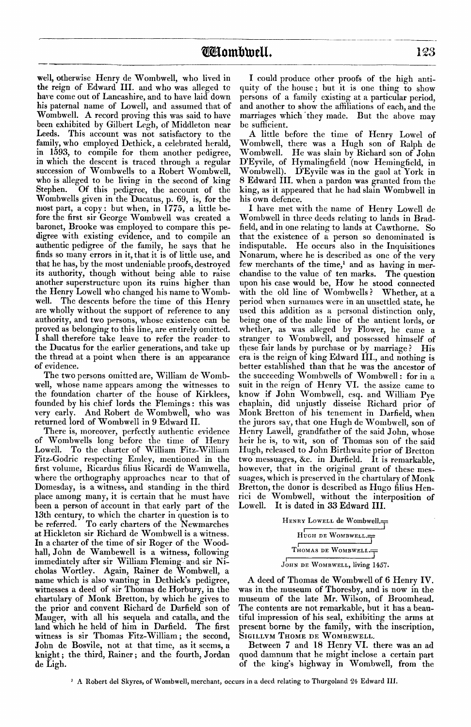well, otherwise Henry de Wombwell, who lived in the reign of Edward III. and who was alleged to have come out of Lancashire, and to have laid down his paternal name of Lowell, and assumed that of Wombwell. A record proving this was said to have been exhibited by Gilbert Legh, of Middleton near Leeds. This account was not satisfactory to the family, who employed Dethick, a celebrated herald, in 1593, to compile for them another pedigree, in which the descent is traced through a regular succession of Wombwells to a Robert Wombwell, who is alleged to be living in the second of king Stephen. Of this pedigree, the account of the Wombwells given in the Ducatus, p. 69, is, for the most part, a copy : but when, in 1775, a little before the first sir George Wombwell was created a baronet, Brooke was employed to compare this pedigree with existing evidence, and to compile an authentic pedigree of the family, he says that he finds so many errors in it, that it is of little use, and that he has, by the most undeniable proofs, destroyed its authority, though without being able to raise another superstructure upon its ruins higher than the Henry Lowell who changed his name to Womb-The descents before the time of this Henry are wholly without the support of reference to any authority, and two persons, whose existence can be proved as belonging to this line, are entirely omitted. I shall therefore take leave to refer the reader- to the Ducatus for the earlier generations, and take up the thread at a point when there is an appearance of evidence.

The two persons omitted are, William de Wombwell, whose name appears among the witnesses to the foundation charter of the house of Kirklees, founded by his chief lords the Flemings : this was very early. And Robert de Wombwell, who was returned lord of Wombwell in 9 Edward II.

There is, moreover, perfectly authentic evidence of Wombwells long before the time of Henry Lowell. To the charter of William Fitz-William Fitz-Godric respecting Emley, mentioned in the first volume, Ricardus filius Ricardi de Wamwella, where the orthography approaches near to that of Domesday, is a witness, and standing in the third place among many, it is certain that he must have been a person of account in that early part of the 13th century, to which the charter in question is to be referred. To early charters of the Newmarches at Hickleton sir Richard de Wombwell is a witness. In a charter of the time of sir Roger of the Woodhall, John de Wambewell is a witness, following immediately after sir William Fleming and sir Nicholas Wortley. Again, Rainer de Wombwell, a name which is also wanting in Dethick's pedigree, witnesses a deed of sir Thomas de Horbury, in the chartulary of Monk Bretton, by which he gives to the prior and convent Richard de Darfield son of Manger, with all his sequela and catalla, and the land which he held of him in Darfield. The first witness is sir Thomas Fitz-William ; the second, John de Bosvile, not at that time, as it seems, a knight ; the third, Rainer ; and the fourth, Jordan de Ligh.

I could produce other proofs of the high antiquity of the house ; but it is one thing to show persons of a family existing at a particular period, and another to show the affiliations of each, and the marriages which they made. But the above may be sufficient.

A little before the time of Henry Lowel of Wombwell, there was a Hugh son of Ralph de Wombwell. He was slain by Richard son of John D'Eyvile, of Hymalingfield (now Hemingfield, in Wombwell). D'Eyvile was in the gaol at York in 8 Edward III. when a pardon was granted from the king, as it appeared that he had slain Wombwell in his own defence.

I have met with the name of Henry Lowell de Wombwell in three deeds relating to lands in Bradfield, and in one relating to lands at Cawthorne. So that the existence of a person so denominated is indisputable. He occurs also in the Inquisitiones Nonarum, where he is described as one of the very few merchants of the time,<sup>1</sup> and as having in mer-<br>chandise to the value of ten marks. The question chandise to the value of ten marks. upon his case would be, How he stood connected with the old line of Wombwells? Whether, at a period when surnames were in an unsettled state, he used this addition as a personal distinction only, being one of the male line of the antient lords, or whether, as was alleged by Flower, he came a stranger to Wombwell, and possessed himself of these fair lands by purchase or by marriage ? His era is the reign of king Edward III., and nothing is better established than that he was the ancestor of the succeeding Wombwells of Wombwell : for in a suit in the reign of Henry VI. the assize came to know if John Wombwell, esq. and William Pye chaplain, did unjustly disseise Richard prior of Monk Bretton of his tenement in Darfield, when the jurors say, that one Hugh de Wombwell, son of Henry Lawell, grandfather of the said John, whose heir he is, to wit, son of Thomas son of the said Hugh, released to John Birthwaite prior of Bretton two messuages, &c. in Darfield. It is remarkable, however, that in the original grant of these messuages, which is preserved in the chartulary of Monk Bretton, the donor is described as Hugo filius Henrici de Wombwell, without the interposition of Lowell. It is dated in 33 Edward III.

| HENRY LOWELL de Wombwell.              |
|----------------------------------------|
| HUGH DE WOMBWELL. $\rightleftharpoons$ |
| THOMAS DE WOMBWELL.                    |
|                                        |

JOHN DE WOMBWELL, living 1457.

A deed of Thomas de Wombwell of 6 Henry IV. was in the museum of Thoresby, and is now in the museum of the late Mr. Wilson, of Broomhead. The contents are not remarkable, but it has a beautiful impression of his seal, exhibiting the arms at present borne by the family, with the inscription, SIGILLVM THOME DE WOMBEWELL.

Between 7 and 18 Henry VI. there was an ad quod damnum that he might inclose a certain part of the king's highway in Wombwell, from the

' A Robert del Skyres, of Wombwell, merchant, occurs in a deed relating to Thurgoland 24 Edward III.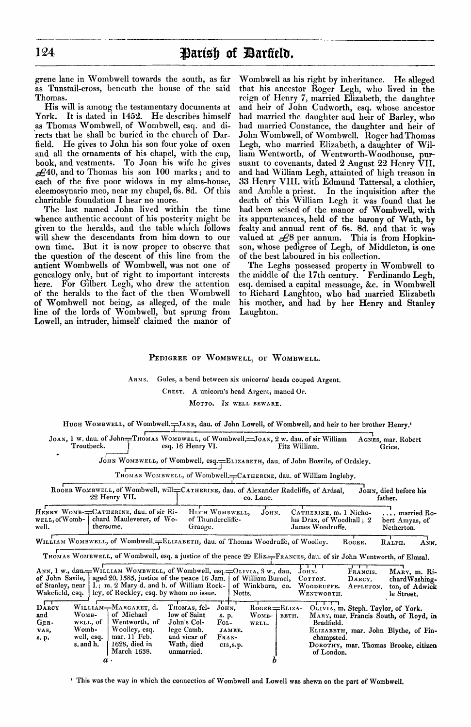**124 Parish of Darfield.**<br> **Parish of Darfield.**<br> **Parish of Darfield.**<br> **Parish of Darfield.**<br> **Parish of Darfield.**<br> **Parish of the said that his ances**<br> **Parish of the said that his ances** grene lane in Wombwell towards the south, as far as Tunstall-cross, beneath the house of the said Thomas.

His will is among the testamentary documents at York. It is dated in 1452. He describes himself as Thomas Wombwell, of Wombwell, esq. and directs that he shall be buried in the church of Darfield. He gives to John his son four yoke of oxen and all the ornaments of his chapel, with the cup, book, and vestments. To Joan his wife he gives  $\pounds$ 40, and to Thomas his son 100 marks; and to each of the five poor widows in my alms-house, eleemosynario meo, near my chapel, 6s. 8d. Of this charitable foundation I hear no more.

The last named John lived within the time whence authentic account of his posterity might be given to the heralds, and the table which follows will shew the descendants from him down to our own time. But it is now proper to observe that the question of the descent of this line from the antient Wombwells of Wombwell, was not one of genealogy only, but of right to important interests here. For Gilbert Legh, who drew the attention of the heralds to the fact of the then Wombwell of Wombwell not being, as alleged, of the male line of the lords of Wombwell, but sprung from Lowell, an intruder, himself claimed the manor of Wombwell as his right by inheritance. He alleged that his ancestor Roger Legh, who lived in the reign of Henry 7, married Elizabeth, the daughter and heir of John Cudworth, esq. whose ancestor had married the daughter and heir of Barley, who had married Constance, the daughter and heir of John Wombwell, of Wombwell. Roger had Thomas Legh, who married Elizabeth, a daughter of William Wentworth, of Wentworth-Woodhouse, pursuant to covenants, dated  $2$  August  $22$  Henry VII. and had William Legh, attainted of high treason in 33 Henry VIII. with Edmund Tattersal, a clothier, and Amble a priest. In the inquisition after the death of this William Legh it was found that he had been seised of the manor of Wombwell, with its appurtenances, held of the barony of Wath, by fealty and annual rent of 6s. 8d. and that it was valued at  $\mathcal{L}8$  per annum. This is from Hopkinson, whose pedigree of Legh, of Middleton, is one of the best laboured in his collection.

The Leghs possessed property in Wombwell to the middle of the 17th century. Ferdinando Legh, esq. demised a capital messuage, &c. in Wombwell to Richard Laughton, who had married Elizabeth his mother, and had by her Henry and Stanley Laughton.

## PEDIGREE OF WOMBWELL, OF WOMBWELL.

#### ARMS. Gules, a bend between six unicorns' heads couped Argent.

CREST. A unicorn's head Argent, maned Or.

MOTTO. IN WELL BEWARE.

HUGH WOMBWELL, of Wombwell. - JANE, dau. of John Lowell, of Wombwell, and heir to her brother Henry.'

| Troutbeck. | esq. 16 Henry VI. | JOAN, 1 w. dau, of John=THOMAS WOMBWELL, of Wombwell,=JOAN, 2 w. dau, of sir William<br>Fitz William. | AGNES, mar. Robert<br>Grice. |
|------------|-------------------|-------------------------------------------------------------------------------------------------------|------------------------------|
|            |                   |                                                                                                       |                              |

|                         | JOAN, 1 W, dau, of John=THOMAS WOMBWELL, of Wombwell,=JOAN, 2 w. dau, of sir William<br>Troutbeck.                 | esq. 16 Henry VI.                                                 |           | Fitz William.                                                          | AGNES, mar. Robert<br>Grice.                |
|-------------------------|--------------------------------------------------------------------------------------------------------------------|-------------------------------------------------------------------|-----------|------------------------------------------------------------------------|---------------------------------------------|
|                         | JOHN WOMBWELL, of Wombwell, esq.=ELIZABETH, dau. of John Bosvile, of Ordsley.                                      |                                                                   |           |                                                                        |                                             |
|                         |                                                                                                                    | THOMAS WOMBWELL, of Wombwell. CATHERINE, dau. of William Ingleby. |           |                                                                        |                                             |
|                         | ROGER WOMBWELL, of Wombwell, will=CATHERINE, dau, of Alexander Radcliffe, of Ardsal.<br>22 Henry VII.              |                                                                   | co. Lanc. |                                                                        | JOHN, died before his<br>father.            |
| well,ofWomb-  <br>well. | HENRY WOMB-=CATHERINE, dau. of sir Ri-<br>chard Mauleverer, of Wo-<br>thersome.                                    | HUGH WOMBWELL,<br>of Thundercliffe-<br>Grange.                    | Јонм.     | CATHERINE, m. 1 Nicho-<br>las Drax, of Woodhall: 2<br>James Woodruffe. | married Ro-<br>bert Amyas, of<br>Netherton. |
|                         | WILLIAM WOMBWELL, of Wombwell. ELIZABETH, dau. of Thomas Woodruffe, of Woolley.                                    |                                                                   |           | ROGER.                                                                 | RALPH.<br>ANN.                              |
|                         | THOMAS WOMBWELL, of Wombwell, esq. a justice of the peace 29 Eliz.=FRANCES, dau. of sir John Wentworth, of Elmsal. |                                                                   |           |                                                                        |                                             |
|                         | $x + y$                                                                                                            | $\overline{a}$                                                    |           |                                                                        |                                             |

| well. · | well, of Womb-   chard Mauleverer, of Wo-<br>thersome. | of Thundercliffe-<br>Grange. | JUHN. | CATHERINE, M. I INCHO-<br>las Drax, of Woodhall: 2<br>James Woodruffe. | …… married no<br>bert Amyas, of<br>Netherton. |
|---------|--------------------------------------------------------|------------------------------|-------|------------------------------------------------------------------------|-----------------------------------------------|
|         |                                                        |                              |       |                                                                        |                                               |

| Wakefield, esq.                       |                                                                             | ANN, 1 w., dau. WILLIAM WOMBWELL, of Wombwell, esq. - OLIVIA, 3 w., dau.<br>of John Savile, $ $ aged 20, 1585, justice of the peace 16 Jam. $ $<br>of Stanley, near   I.; m. 2 Mary d. and h. of William Rock-<br>ley, of Rockley, esq. by whom no issue. |                                                                                                       | Notts.                                                            | of William Burnel,<br>of Winkburn, co. |       | Јонм.<br>COTTON.<br>WOODRUFFE.<br>WENTWORTH. | FRANCIS.<br>DARCY.<br>APPLETON.    | MARY, m. Ri-<br>chard Washing.<br>ton, of Adwick<br>le Street.                                                        |
|---------------------------------------|-----------------------------------------------------------------------------|-----------------------------------------------------------------------------------------------------------------------------------------------------------------------------------------------------------------------------------------------------------|-------------------------------------------------------------------------------------------------------|-------------------------------------------------------------------|----------------------------------------|-------|----------------------------------------------|------------------------------------|-----------------------------------------------------------------------------------------------------------------------|
| DARCY<br>and<br>GER-<br>VAS,<br>s. p. | WOMB-<br>WELL, of<br>Womb-<br>well, esq.<br>s. and h.<br>$\boldsymbol{a}$ . | WILLIAM=MARGARET, d.<br>of Michael<br>Wentworth, of<br>Woolley, esq.<br>mar. 11 Feb.<br>$1628$ , died in<br>March 1638.                                                                                                                                   | THOMAS, fel-<br>low of Saint<br>John's Col-<br>lege Camb.<br>and vicar of<br>Wath, died<br>unmarried. | JOHN.<br>s. p.<br>$_{\rm{FOL-}}$<br>JAMBE.<br>FRAN-<br>CIS, S. p. | $R$ OGER $=$ ELIZA-<br>WOMB-<br>WELL.  | ветн. | Bradfield.<br>champsted.<br>of London.       | OLIVIA, m. Steph. Taylor, of York. | MARY, mar. Francis South, of Royd, in<br>ELIZABETH, mar. John Blythe, of Fin-<br>DOROTHY, mar. Thomas Brooke, citizen |

' This was the way in which the connection of Wombwell and Lowell was shewn on the part of Wombwell.